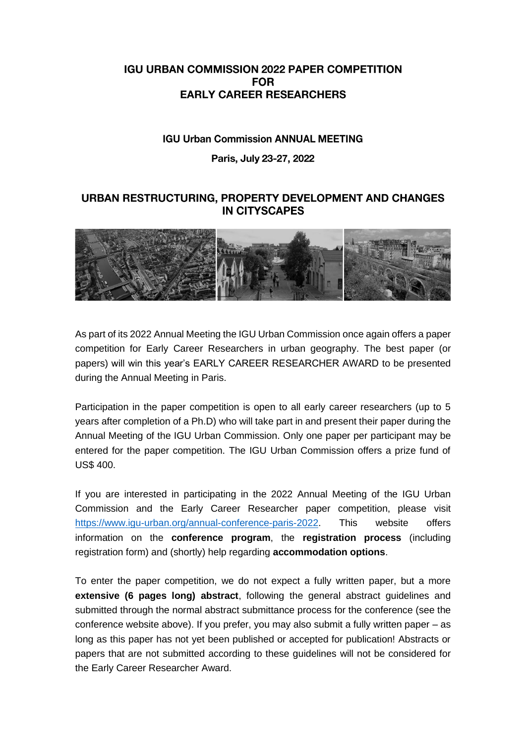## **IGU URBAN COMMISSION 2022 PAPER COMPETITION FOR EARLY CAREER RESEARCHERS**

## **IGU Urban Commission ANNUAL MEETING**

## Paris, July 23-27, 2022

## URBAN RESTRUCTURING, PROPERTY DEVELOPMENT AND CHANGES **IN CITYSCAPES**



As part of its 2022 Annual Meeting the IGU Urban Commission once again offers a paper competition for Early Career Researchers in urban geography. The best paper (or papers) will win this year's EARLY CAREER RESEARCHER AWARD to be presented during the Annual Meeting in Paris.

Participation in the paper competition is open to all early career researchers (up to 5 years after completion of a Ph.D) who will take part in and present their paper during the Annual Meeting of the IGU Urban Commission. Only one paper per participant may be entered for the paper competition. The IGU Urban Commission offers a prize fund of US\$ 400.

If you are interested in participating in the 2022 Annual Meeting of the IGU Urban Commission and the Early Career Researcher paper competition, please visit [https://www.igu-urban.org/annual-conference-paris-2022.](https://www.igu-urban.org/annual-conference-paris-2022) This website offers information on the **conference program**, the **registration process** (including registration form) and (shortly) help regarding **accommodation options**.

To enter the paper competition, we do not expect a fully written paper, but a more **extensive (6 pages long) abstract**, following the general abstract guidelines and submitted through the normal abstract submittance process for the conference (see the conference website above). If you prefer, you may also submit a fully written paper – as long as this paper has not yet been published or accepted for publication! Abstracts or papers that are not submitted according to these guidelines will not be considered for the Early Career Researcher Award.